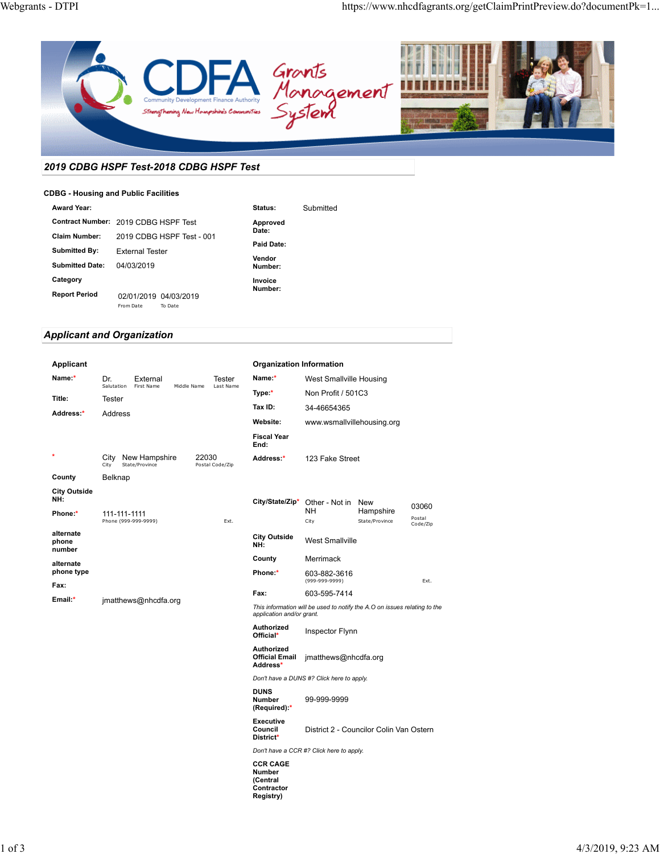

# *2019 CDBG HSPF Test-2018 CDBG HSPF Test*

#### **CDBG - Housing and Public Facilities**

| Award Year:                          |                        |                                  | Status:           | Submitted |
|--------------------------------------|------------------------|----------------------------------|-------------------|-----------|
| Contract Number: 2019 CDBG HSPF Test |                        |                                  | Approved          |           |
| <b>Claim Number:</b>                 |                        | 2019 CDBG HSPF Test - 001        | Date:             |           |
| Submitted By:                        | <b>External Tester</b> |                                  | Paid Date:        |           |
| <b>Submitted Date:</b>               | 04/03/2019             |                                  | Vendor<br>Number: |           |
| Category                             |                        |                                  | Invoice           |           |
| <b>Report Period</b>                 | From Date              | 02/01/2019 04/03/2019<br>To Date | Number:           |           |

# *Applicant and Organization*

| Applicant                             |                      |                                      |             | <b>Organization Information</b> |                                                 |                                                                           |                |                    |
|---------------------------------------|----------------------|--------------------------------------|-------------|---------------------------------|-------------------------------------------------|---------------------------------------------------------------------------|----------------|--------------------|
| Name:*                                | Dr.<br>Salutation    | External<br>First Name               | Middle Name | Tester<br>Last Name             | Name:*                                          | West Smallville Housing                                                   |                |                    |
| Title:                                | Tester               |                                      |             |                                 | Type:*                                          | Non Profit / 501C3                                                        |                |                    |
| Address:*                             | Address              |                                      |             |                                 | Tax ID:                                         | 34-46654365                                                               |                |                    |
|                                       |                      |                                      |             |                                 | Website:                                        | www.wsmallvillehousing.org                                                |                |                    |
|                                       |                      |                                      |             |                                 | <b>Fiscal Year</b><br>End:                      |                                                                           |                |                    |
| $\star$                               | City                 | City New Hampshire<br>State/Province | 22030       | Postal Code/Zip                 | Address:*                                       | 123 Fake Street                                                           |                |                    |
| County                                | Belknap              |                                      |             |                                 |                                                 |                                                                           |                |                    |
| <b>City Outside</b><br>NH:<br>Phone:* | 111-111-1111         |                                      |             |                                 | City/State/Zip*                                 | Other - Not in New<br>NΗ                                                  | Hampshire      | 03060              |
|                                       |                      | Phone (999-999-9999)                 |             | Ext.                            |                                                 | City                                                                      | State/Province | Postal<br>Code/Zip |
| alternate<br>phone<br>number          |                      |                                      |             |                                 | <b>City Outside</b><br>NH:                      | <b>West Smallville</b>                                                    |                |                    |
| alternate                             |                      |                                      |             |                                 | County                                          | Merrimack                                                                 |                |                    |
| phone type<br>Fax:                    |                      |                                      |             |                                 | Phone:*                                         | 603-882-3616<br>(999-999-9999)                                            |                | Ext.               |
| Email:*                               | jmatthews@nhcdfa.org |                                      |             | Fax:                            | 603-595-7414                                    |                                                                           |                |                    |
|                                       |                      |                                      |             |                                 | application and/or grant.                       | This information will be used to notify the A.O on issues relating to the |                |                    |
|                                       |                      |                                      |             |                                 | Authorized<br>Official*                         | Inspector Flynn                                                           |                |                    |
|                                       |                      |                                      |             |                                 | Authorized<br><b>Official Email</b><br>Address* | jmatthews@nhcdfa.org                                                      |                |                    |
|                                       |                      |                                      |             |                                 |                                                 | Don't have a DUNS #? Click here to apply.                                 |                |                    |
|                                       |                      |                                      |             |                                 | <b>DUNS</b><br>Number<br>(Required):*           | 99-999-9999                                                               |                |                    |
|                                       |                      |                                      |             |                                 | <b>Executive</b><br>Council<br>District*        | District 2 - Councilor Colin Van Ostern                                   |                |                    |
|                                       |                      |                                      |             |                                 |                                                 | Don't have a CCR #? Click here to apply.                                  |                |                    |
|                                       |                      |                                      |             |                                 | <b>CCR CAGE</b><br>Number                       |                                                                           |                |                    |

**(Central Contractor Registry)**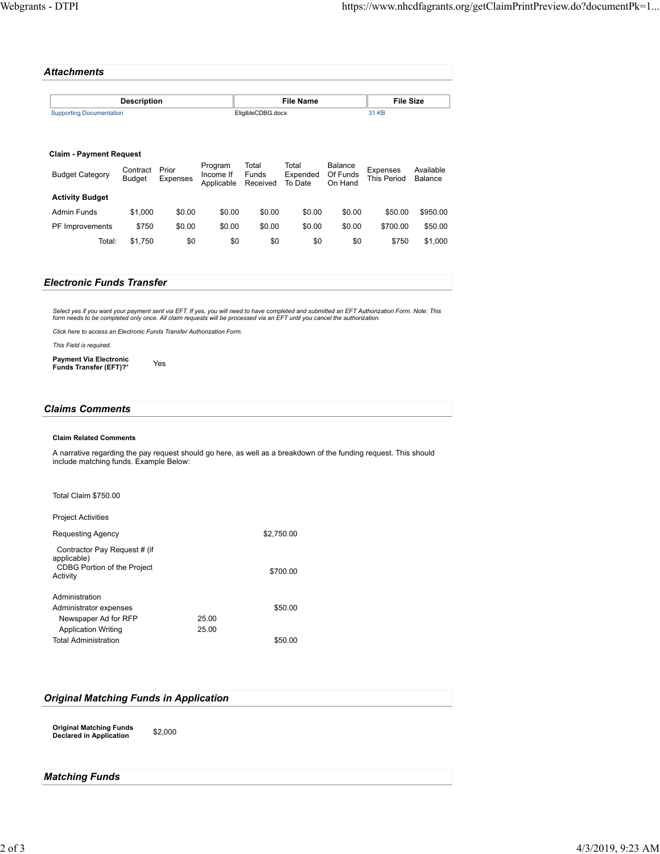| Attachments                     |                   |           |
|---------------------------------|-------------------|-----------|
| <b>Description</b>              | <b>File Name</b>  | File Size |
| <b>Supporting Documentation</b> | EligibleCDBG.docx | 31 KB     |

| Giallii - Favilleill Reugest |                           |                   |                                    |                            |                              |                                |                                |                      |
|------------------------------|---------------------------|-------------------|------------------------------------|----------------------------|------------------------------|--------------------------------|--------------------------------|----------------------|
| <b>Budget Category</b>       | Contract<br><b>Budget</b> | Prior<br>Expenses | Program<br>Income If<br>Applicable | Total<br>Funds<br>Received | Total<br>Expended<br>To Date | Balance<br>Of Funds<br>On Hand | <b>Expenses</b><br>This Period | Available<br>Balance |
| <b>Activity Budget</b>       |                           |                   |                                    |                            |                              |                                |                                |                      |
| Admin Funds                  | \$1.000                   | \$0.00            | \$0.00                             | \$0.00                     | \$0.00                       | \$0.00                         | \$50.00                        | \$950.00             |
| PF Improvements              | \$750                     | \$0.00            | \$0.00                             | \$0.00                     | \$0.00                       | \$0.00                         | \$700.00                       | \$50.00              |
| Total:                       | \$1.750                   | \$0               | \$0                                | \$0                        | \$0                          | \$0                            | \$750                          | \$1,000              |

| <b>Electronic Funds Transfer</b> |  |
|----------------------------------|--|
|                                  |  |

Select yes if you want your payment sent via EFT. If yes, you will need to have completed and submitted an EFT Authorization Form. Note: This<br>form needs to be completed only once. All claim requests will be processed via a

*Click here to access an Electronic Funds Transfer Authorization Form.*

*This Field is required.*

**Claim - Payment Request** 

**Payment Via Electronic Funds Transfer (EFT)?\*** Yes

## *Claims Comments*

#### **Claim Related Comments**

A narrative regarding the pay request should go here, as well as a breakdown of the funding request. This should include matching funds. Example Below:

#### Total Claim \$750.00

Project Activities

| Requesting Agency                                                                             |       | \$2,750.00 |
|-----------------------------------------------------------------------------------------------|-------|------------|
| Contractor Pay Request # (if<br>applicable)<br><b>CDBG Portion of the Project</b><br>Activity |       | \$700.00   |
| Administration                                                                                |       |            |
| Administrator expenses                                                                        |       | \$50.00    |
| Newspaper Ad for RFP                                                                          | 25.00 |            |
| <b>Application Writing</b>                                                                    | 25.00 |            |
| <b>Total Administration</b>                                                                   |       | \$50.00    |

### *Original Matching Funds in Application*

**Original Matching Funds Declared in Application** \$2,000

# *Matching Funds*